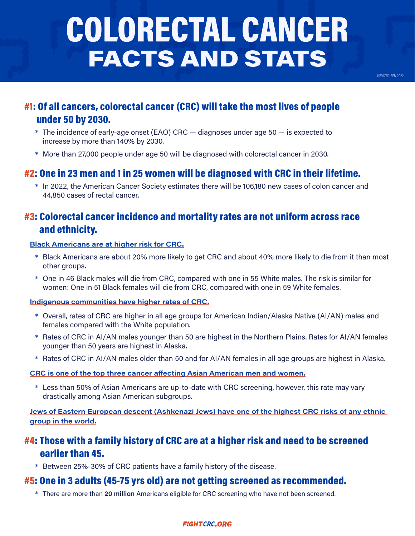# COLORECTAL CANCER FACTS AND STATS

UPDATED: FEB. 2022

## #1: Of all cancers, colorectal cancer (CRC) will take the most lives of people under 50 by 2030.

- \* The incidence of early-age onset (EAO) CRC diagnoses under age 50 is expected to increase by more than 140% by 2030.
- \* More than 27,000 people under age 50 will be diagnosed with colorectal cancer in 2030.

## #2: One in 23 men and 1 in 25 women will be diagnosed with CRC in their lifetime.

\* In 2022, the American Cancer Society estimates there will be 106,180 new cases of colon cancer and 44,850 cases of rectal cancer.

## #3: Colorectal cancer incidence and mortality rates are not uniform across race and ethnicity.

#### Black Americans are at higher risk for CRC.

- \* Black Americans are about 20% more likely to get CRC and about 40% more likely to die from it than most other groups.
- \* One in 46 Black males will die from CRC, compared with one in 55 White males. The risk is similar for women: One in 51 Black females will die from CRC, compared with one in 59 White females.

#### Indigenous communities have higher rates of CRC.

- \* Overall, rates of CRC are higher in all age groups for American Indian/Alaska Native (AI/AN) males and females compared with the White population.
- \* Rates of CRC in AI/AN males younger than 50 are highest in the Northern Plains. Rates for AI/AN females younger than 50 years are highest in Alaska.
- \* Rates of CRC in AI/AN males older than 50 and for AI/AN females in all age groups are highest in Alaska.

#### CRC is one of the top three cancer affecting Asian American men and women.

\* Less than 50% of Asian Americans are up-to-date with CRC screening, however, this rate may vary drastically among Asian American subgroups.

Jews of Eastern European descent (Ashkenazi Jews) have one of the highest CRC risks of any ethnic group in the world.

## #4: Those with a family history of CRC are at a higher risk and need to be screened earlier than 45.

\* Between 25%-30% of CRC patients have a family history of the disease.

### #5: One in 3 adults (45-75 yrs old) are not getting screened as recommended.

\* There are more than 20 million Americans eligible for CRC screening who have not been screened.

#### **FIGHT CRC.ORG**